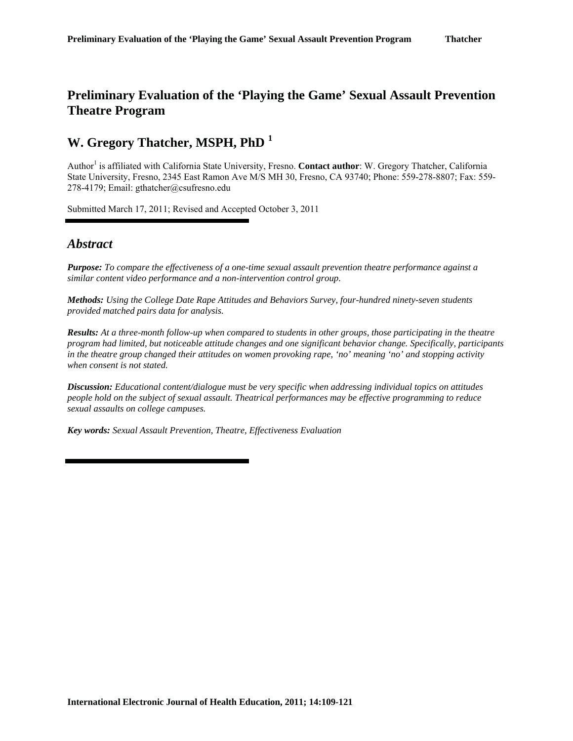# **Preliminary Evaluation of the 'Playing the Game' Sexual Assault Prevention Theatre Program**

# **W. Gregory Thatcher, MSPH, PhD <sup>1</sup>**

Author<sup>1</sup> is affiliated with California State University, Fresno. **Contact author**: W. Gregory Thatcher, California State University, Fresno, 2345 East Ramon Ave M/S MH 30, Fresno, CA 93740; Phone: 559-278-8807; Fax: 559- 278-4179; Email: gthatcher@csufresno.edu

Submitted March 17, 2011; Revised and Accepted October 3, 2011

### *Abstract*

*Purpose: To compare the effectiveness of a one-time sexual assault prevention theatre performance against a similar content video performance and a non-intervention control group.* 

*Methods: Using the College Date Rape Attitudes and Behaviors Survey, four-hundred ninety-seven students provided matched pairs data for analysis.* 

*Results: At a three-month follow-up when compared to students in other groups, those participating in the theatre program had limited, but noticeable attitude changes and one significant behavior change. Specifically, participants in the theatre group changed their attitudes on women provoking rape, 'no' meaning 'no' and stopping activity when consent is not stated.* 

*Discussion: Educational content/dialogue must be very specific when addressing individual topics on attitudes people hold on the subject of sexual assault. Theatrical performances may be effective programming to reduce sexual assaults on college campuses.*

*Key words: Sexual Assault Prevention, Theatre, Effectiveness Evaluation*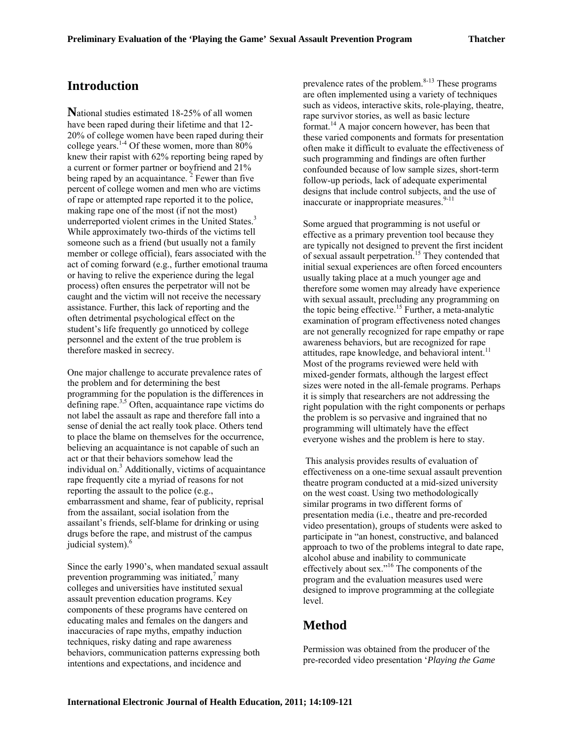## **Introduction**

**N**ational studies estimated 18-25% of all women have been raped during their lifetime and that 12- 20% of college women have been raped during their college years.<sup>1-4</sup> Of these women, more than  $80\%$ knew their rapist with 62% reporting being raped by a current or former partner or boyfriend and 21% being raped by an acquaintance.  $2$  Fewer than five percent of college women and men who are victims of rape or attempted rape reported it to the police, making rape one of the most (if not the most) underreported violent crimes in the United States.<sup>3</sup> While approximately two-thirds of the victims tell someone such as a friend (but usually not a family member or college official), fears associated with the act of coming forward (e.g., further emotional trauma or having to relive the experience during the legal process) often ensures the perpetrator will not be caught and the victim will not receive the necessary assistance. Further, this lack of reporting and the often detrimental psychological effect on the student's life frequently go unnoticed by college personnel and the extent of the true problem is therefore masked in secrecy.

One major challenge to accurate prevalence rates of the problem and for determining the best programming for the population is the differences in defining rape.<sup>3,5</sup> Often, acquaintance rape victims do not label the assault as rape and therefore fall into a sense of denial the act really took place. Others tend to place the blame on themselves for the occurrence, believing an acquaintance is not capable of such an act or that their behaviors somehow lead the individual on.<sup>3</sup> Additionally, victims of acquaintance rape frequently cite a myriad of reasons for not reporting the assault to the police (e.g., embarrassment and shame, fear of publicity, reprisal from the assailant, social isolation from the assailant's friends, self-blame for drinking or using drugs before the rape, and mistrust of the campus judicial system).<sup>6</sup>

Since the early 1990's, when mandated sexual assault prevention programming was initiated, $^7$  many colleges and universities have instituted sexual assault prevention education programs. Key components of these programs have centered on educating males and females on the dangers and inaccuracies of rape myths, empathy induction techniques, risky dating and rape awareness behaviors, communication patterns expressing both intentions and expectations, and incidence and

prevalence rates of the problem. $8-13$  These programs are often implemented using a variety of techniques such as videos, interactive skits, role-playing, theatre, rape survivor stories, as well as basic lecture format.<sup>14</sup> A major concern however, has been that these varied components and formats for presentation often make it difficult to evaluate the effectiveness of such programming and findings are often further confounded because of low sample sizes, short-term follow-up periods, lack of adequate experimental designs that include control subjects, and the use of inaccurate or inappropriate measures.<sup>9-11</sup>

Some argued that programming is not useful or effective as a primary prevention tool because they are typically not designed to prevent the first incident of sexual assault perpetration.<sup>15</sup> They contended that initial sexual experiences are often forced encounters usually taking place at a much younger age and therefore some women may already have experience with sexual assault, precluding any programming on the topic being effective.<sup>15</sup> Further, a meta-analytic examination of program effectiveness noted changes are not generally recognized for rape empathy or rape awareness behaviors, but are recognized for rape attitudes, rape knowledge, and behavioral intent.<sup>11</sup> Most of the programs reviewed were held with mixed-gender formats, although the largest effect sizes were noted in the all-female programs. Perhaps it is simply that researchers are not addressing the right population with the right components or perhaps the problem is so pervasive and ingrained that no programming will ultimately have the effect everyone wishes and the problem is here to stay.

This analysis provides results of evaluation of effectiveness on a one-time sexual assault prevention theatre program conducted at a mid-sized university on the west coast. Using two methodologically similar programs in two different forms of presentation media (i.e., theatre and pre-recorded video presentation), groups of students were asked to participate in "an honest, constructive, and balanced approach to two of the problems integral to date rape, alcohol abuse and inability to communicate effectively about sex."<sup>16</sup> The components of the program and the evaluation measures used were designed to improve programming at the collegiate level.

# **Method**

Permission was obtained from the producer of the pre-recorded video presentation '*Playing the Game*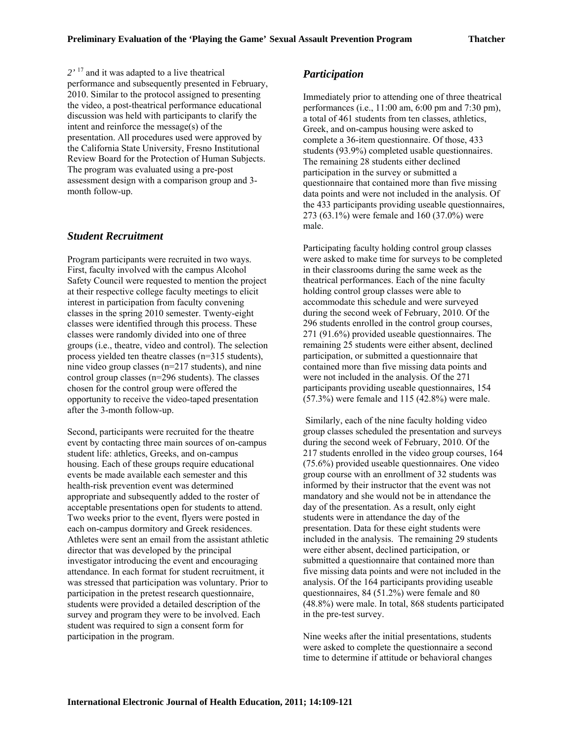*2'* <sup>17</sup> and it was adapted to a live theatrical performance and subsequently presented in February, 2010. Similar to the protocol assigned to presenting the video, a post-theatrical performance educational discussion was held with participants to clarify the intent and reinforce the message(s) of the presentation. All procedures used were approved by the California State University, Fresno Institutional Review Board for the Protection of Human Subjects. The program was evaluated using a pre-post assessment design with a comparison group and 3 month follow-up.

### *Student Recruitment*

Program participants were recruited in two ways. First, faculty involved with the campus Alcohol Safety Council were requested to mention the project at their respective college faculty meetings to elicit interest in participation from faculty convening classes in the spring 2010 semester. Twenty-eight classes were identified through this process. These classes were randomly divided into one of three groups (i.e., theatre, video and control). The selection process yielded ten theatre classes (n=315 students), nine video group classes (n=217 students), and nine control group classes (n=296 students). The classes chosen for the control group were offered the opportunity to receive the video-taped presentation after the 3-month follow-up.

Second, participants were recruited for the theatre event by contacting three main sources of on-campus student life: athletics, Greeks, and on-campus housing. Each of these groups require educational events be made available each semester and this health-risk prevention event was determined appropriate and subsequently added to the roster of acceptable presentations open for students to attend. Two weeks prior to the event, flyers were posted in each on-campus dormitory and Greek residences. Athletes were sent an email from the assistant athletic director that was developed by the principal investigator introducing the event and encouraging attendance. In each format for student recruitment, it was stressed that participation was voluntary. Prior to participation in the pretest research questionnaire, students were provided a detailed description of the survey and program they were to be involved. Each student was required to sign a consent form for participation in the program.

### *Participation*

Immediately prior to attending one of three theatrical performances (i.e., 11:00 am, 6:00 pm and 7:30 pm), a total of 461 students from ten classes, athletics, Greek, and on-campus housing were asked to complete a 36-item questionnaire. Of those, 433 students (93.9%) completed usable questionnaires. The remaining 28 students either declined participation in the survey or submitted a questionnaire that contained more than five missing data points and were not included in the analysis. Of the 433 participants providing useable questionnaires, 273 (63.1%) were female and 160 (37.0%) were male.

Participating faculty holding control group classes were asked to make time for surveys to be completed in their classrooms during the same week as the theatrical performances. Each of the nine faculty holding control group classes were able to accommodate this schedule and were surveyed during the second week of February, 2010. Of the 296 students enrolled in the control group courses, 271 (91.6%) provided useable questionnaires. The remaining 25 students were either absent, declined participation, or submitted a questionnaire that contained more than five missing data points and were not included in the analysis. Of the 271 participants providing useable questionnaires, 154 (57.3%) were female and 115 (42.8%) were male.

Similarly, each of the nine faculty holding video group classes scheduled the presentation and surveys during the second week of February, 2010. Of the 217 students enrolled in the video group courses, 164 (75.6%) provided useable questionnaires. One video group course with an enrollment of 32 students was informed by their instructor that the event was not mandatory and she would not be in attendance the day of the presentation. As a result, only eight students were in attendance the day of the presentation. Data for these eight students were included in the analysis. The remaining 29 students were either absent, declined participation, or submitted a questionnaire that contained more than five missing data points and were not included in the analysis. Of the 164 participants providing useable questionnaires, 84 (51.2%) were female and 80 (48.8%) were male. In total, 868 students participated in the pre-test survey.

Nine weeks after the initial presentations, students were asked to complete the questionnaire a second time to determine if attitude or behavioral changes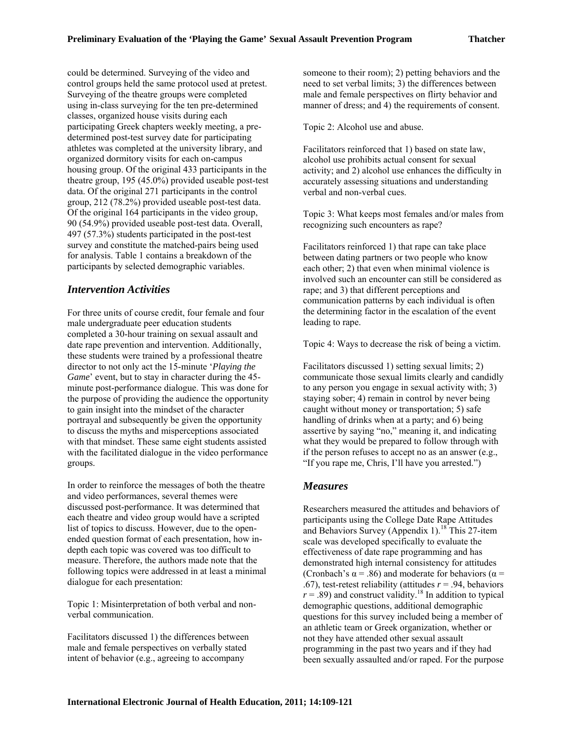could be determined. Surveying of the video and control groups held the same protocol used at pretest. Surveying of the theatre groups were completed using in-class surveying for the ten pre-determined classes, organized house visits during each participating Greek chapters weekly meeting, a predetermined post-test survey date for participating athletes was completed at the university library, and organized dormitory visits for each on-campus housing group. Of the original 433 participants in the theatre group, 195 (45.0%) provided useable post-test data. Of the original 271 participants in the control group, 212 (78.2%) provided useable post-test data. Of the original 164 participants in the video group, 90 (54.9%) provided useable post-test data. Overall, 497 (57.3%) students participated in the post-test survey and constitute the matched-pairs being used for analysis. Table 1 contains a breakdown of the participants by selected demographic variables.

### *Intervention Activities*

For three units of course credit, four female and four male undergraduate peer education students completed a 30-hour training on sexual assault and date rape prevention and intervention. Additionally, these students were trained by a professional theatre director to not only act the 15-minute '*Playing the Game*' event, but to stay in character during the 45 minute post-performance dialogue. This was done for the purpose of providing the audience the opportunity to gain insight into the mindset of the character portrayal and subsequently be given the opportunity to discuss the myths and misperceptions associated with that mindset. These same eight students assisted with the facilitated dialogue in the video performance groups.

In order to reinforce the messages of both the theatre and video performances, several themes were discussed post-performance. It was determined that each theatre and video group would have a scripted list of topics to discuss. However, due to the openended question format of each presentation, how indepth each topic was covered was too difficult to measure. Therefore, the authors made note that the following topics were addressed in at least a minimal dialogue for each presentation:

Topic 1: Misinterpretation of both verbal and nonverbal communication.

Facilitators discussed 1) the differences between male and female perspectives on verbally stated intent of behavior (e.g., agreeing to accompany

someone to their room); 2) petting behaviors and the need to set verbal limits; 3) the differences between male and female perspectives on flirty behavior and manner of dress; and 4) the requirements of consent.

Topic 2: Alcohol use and abuse.

Facilitators reinforced that 1) based on state law, alcohol use prohibits actual consent for sexual activity; and 2) alcohol use enhances the difficulty in accurately assessing situations and understanding verbal and non-verbal cues.

Topic 3: What keeps most females and/or males from recognizing such encounters as rape?

Facilitators reinforced 1) that rape can take place between dating partners or two people who know each other; 2) that even when minimal violence is involved such an encounter can still be considered as rape; and 3) that different perceptions and communication patterns by each individual is often the determining factor in the escalation of the event leading to rape.

Topic 4: Ways to decrease the risk of being a victim.

Facilitators discussed 1) setting sexual limits; 2) communicate those sexual limits clearly and candidly to any person you engage in sexual activity with; 3) staying sober; 4) remain in control by never being caught without money or transportation; 5) safe handling of drinks when at a party; and 6) being assertive by saying "no," meaning it, and indicating what they would be prepared to follow through with if the person refuses to accept no as an answer (e.g., "If you rape me, Chris, I'll have you arrested.")

### *Measures*

Researchers measured the attitudes and behaviors of participants using the College Date Rape Attitudes and Behaviors Survey (Appendix 1).<sup>18</sup> This 27-item scale was developed specifically to evaluate the effectiveness of date rape programming and has demonstrated high internal consistency for attitudes (Cronbach's  $\alpha$  = .86) and moderate for behaviors ( $\alpha$  = .67), test-retest reliability (attitudes *r* = .94, behaviors  $r = .89$ ) and construct validity.<sup>18</sup> In addition to typical demographic questions, additional demographic questions for this survey included being a member of an athletic team or Greek organization, whether or not they have attended other sexual assault programming in the past two years and if they had been sexually assaulted and/or raped. For the purpose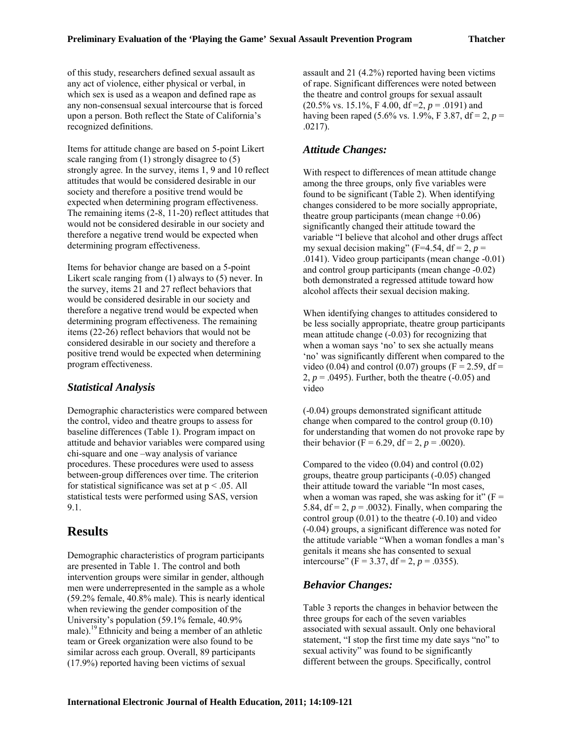of this study, researchers defined sexual assault as any act of violence, either physical or verbal, in which sex is used as a weapon and defined rape as any non-consensual sexual intercourse that is forced upon a person. Both reflect the State of California's recognized definitions.

Items for attitude change are based on 5-point Likert scale ranging from (1) strongly disagree to (5) strongly agree. In the survey, items 1, 9 and 10 reflect attitudes that would be considered desirable in our society and therefore a positive trend would be expected when determining program effectiveness. The remaining items (2-8, 11-20) reflect attitudes that would not be considered desirable in our society and therefore a negative trend would be expected when determining program effectiveness.

Items for behavior change are based on a 5-point Likert scale ranging from (1) always to (5) never. In the survey, items 21 and 27 reflect behaviors that would be considered desirable in our society and therefore a negative trend would be expected when determining program effectiveness. The remaining items (22-26) reflect behaviors that would not be considered desirable in our society and therefore a positive trend would be expected when determining program effectiveness.

### *Statistical Analysis*

Demographic characteristics were compared between the control, video and theatre groups to assess for baseline differences (Table 1). Program impact on attitude and behavior variables were compared using chi-square and one –way analysis of variance procedures. These procedures were used to assess between-group differences over time. The criterion for statistical significance was set at  $p < .05$ . All statistical tests were performed using SAS, version 9.1.

# **Results**

Demographic characteristics of program participants are presented in Table 1. The control and both intervention groups were similar in gender, although men were underrepresented in the sample as a whole (59.2% female, 40.8% male). This is nearly identical when reviewing the gender composition of the University's population (59.1% female, 40.9% male).<sup>19</sup> Ethnicity and being a member of an athletic team or Greek organization were also found to be similar across each group. Overall, 89 participants (17.9%) reported having been victims of sexual

assault and 21 (4.2%) reported having been victims of rape. Significant differences were noted between the theatre and control groups for sexual assault (20.5% vs. 15.1%, F 4.00, df =2, *p* = .0191) and having been raped (5.6% vs. 1.9%, F 3.87, df = 2,  $p =$ .0217).

### *Attitude Changes:*

With respect to differences of mean attitude change among the three groups, only five variables were found to be significant (Table 2). When identifying changes considered to be more socially appropriate, theatre group participants (mean change +0.06) significantly changed their attitude toward the variable "I believe that alcohol and other drugs affect my sexual decision making" (F=4.54, df = 2,  $p =$ .0141). Video group participants (mean change -0.01) and control group participants (mean change -0.02) both demonstrated a regressed attitude toward how alcohol affects their sexual decision making.

When identifying changes to attitudes considered to be less socially appropriate, theatre group participants mean attitude change (-0.03) for recognizing that when a woman says 'no' to sex she actually means 'no' was significantly different when compared to the video (0.04) and control (0.07) groups ( $F = 2.59$ , df = 2,  $p = .0495$ ). Further, both the theatre  $(-0.05)$  and video

(-0.04) groups demonstrated significant attitude change when compared to the control group (0.10) for understanding that women do not provoke rape by their behavior ( $F = 6.29$ ,  $df = 2$ ,  $p = .0020$ ).

Compared to the video (0.04) and control (0.02) groups, theatre group participants (-0.05) changed their attitude toward the variable "In most cases, when a woman was raped, she was asking for it"  $(F =$ 5.84,  $df = 2$ ,  $p = .0032$ ). Finally, when comparing the control group  $(0.01)$  to the theatre  $(-0.10)$  and video (-0.04) groups, a significant difference was noted for the attitude variable "When a woman fondles a man's genitals it means she has consented to sexual intercourse" ( $F = 3.37$ , d $f = 2$ ,  $p = .0355$ ).

### *Behavior Changes:*

Table 3 reports the changes in behavior between the three groups for each of the seven variables associated with sexual assault. Only one behavioral statement, "I stop the first time my date says "no" to sexual activity" was found to be significantly different between the groups. Specifically, control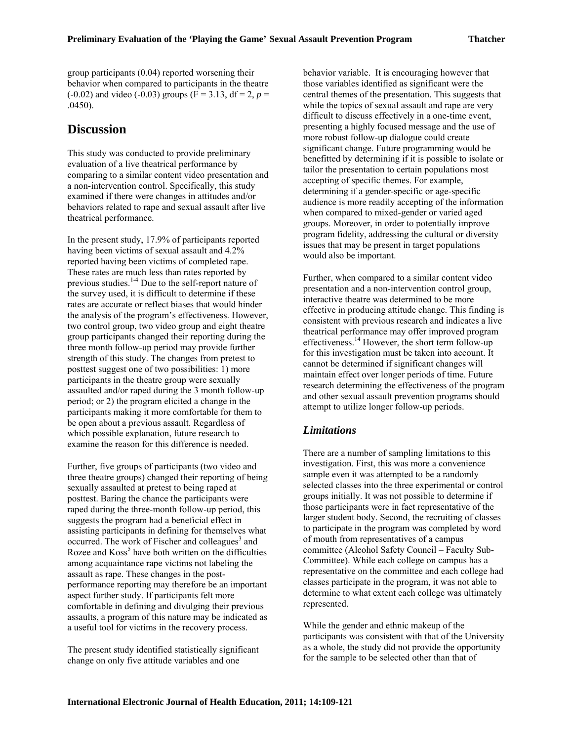group participants (0.04) reported worsening their behavior when compared to participants in the theatre  $(-0.02)$  and video  $(-0.03)$  groups  $(F = 3.13, df = 2, p =$ .0450).

### **Discussion**

This study was conducted to provide preliminary evaluation of a live theatrical performance by comparing to a similar content video presentation and a non-intervention control. Specifically, this study examined if there were changes in attitudes and/or behaviors related to rape and sexual assault after live theatrical performance.

In the present study, 17.9% of participants reported having been victims of sexual assault and 4.2% reported having been victims of completed rape. These rates are much less than rates reported by previous studies.<sup>1-4</sup> Due to the self-report nature of the survey used, it is difficult to determine if these rates are accurate or reflect biases that would hinder the analysis of the program's effectiveness. However, two control group, two video group and eight theatre group participants changed their reporting during the three month follow-up period may provide further strength of this study. The changes from pretest to posttest suggest one of two possibilities: 1) more participants in the theatre group were sexually assaulted and/or raped during the 3 month follow-up period; or 2) the program elicited a change in the participants making it more comfortable for them to be open about a previous assault. Regardless of which possible explanation, future research to examine the reason for this difference is needed.

Further, five groups of participants (two video and three theatre groups) changed their reporting of being sexually assaulted at pretest to being raped at posttest. Baring the chance the participants were raped during the three-month follow-up period, this suggests the program had a beneficial effect in assisting participants in defining for themselves what occurred. The work of Fischer and colleagues<sup>3</sup> and Rozee and Koss<sup>5</sup> have both written on the difficulties among acquaintance rape victims not labeling the assault as rape. These changes in the postperformance reporting may therefore be an important aspect further study. If participants felt more comfortable in defining and divulging their previous assaults, a program of this nature may be indicated as a useful tool for victims in the recovery process.

The present study identified statistically significant change on only five attitude variables and one

behavior variable. It is encouraging however that those variables identified as significant were the central themes of the presentation. This suggests that while the topics of sexual assault and rape are very difficult to discuss effectively in a one-time event, presenting a highly focused message and the use of more robust follow-up dialogue could create significant change. Future programming would be benefitted by determining if it is possible to isolate or tailor the presentation to certain populations most accepting of specific themes. For example, determining if a gender-specific or age-specific audience is more readily accepting of the information when compared to mixed-gender or varied aged groups. Moreover, in order to potentially improve program fidelity, addressing the cultural or diversity issues that may be present in target populations would also be important.

Further, when compared to a similar content video presentation and a non-intervention control group, interactive theatre was determined to be more effective in producing attitude change. This finding is consistent with previous research and indicates a live theatrical performance may offer improved program effectiveness.<sup>14</sup> However, the short term follow-up for this investigation must be taken into account. It cannot be determined if significant changes will maintain effect over longer periods of time. Future research determining the effectiveness of the program and other sexual assault prevention programs should attempt to utilize longer follow-up periods.

#### *Limitations*

There are a number of sampling limitations to this investigation. First, this was more a convenience sample even it was attempted to be a randomly selected classes into the three experimental or control groups initially. It was not possible to determine if those participants were in fact representative of the larger student body. Second, the recruiting of classes to participate in the program was completed by word of mouth from representatives of a campus committee (Alcohol Safety Council – Faculty Sub-Committee). While each college on campus has a representative on the committee and each college had classes participate in the program, it was not able to determine to what extent each college was ultimately represented.

While the gender and ethnic makeup of the participants was consistent with that of the University as a whole, the study did not provide the opportunity for the sample to be selected other than that of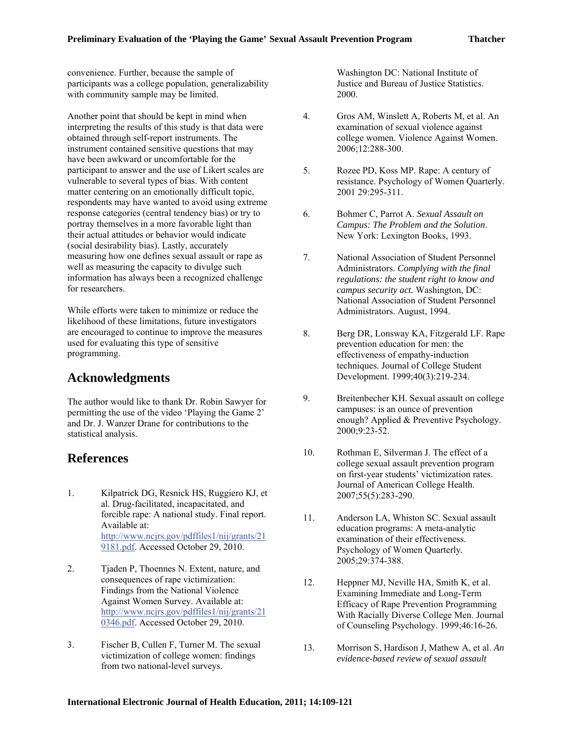convenience. Further, because the sample of participants was a college population, generalizability with community sample may be limited.

Another point that should be kept in mind when interpreting the results of this study is that data were obtained through self-report instruments. The instrument contained sensitive questions that may have been awkward or uncomfortable for the participant to answer and the use of Likert scales are vulnerable to several types of bias. With content matter centering on an emotionally difficult topic, respondents may have wanted to avoid using extreme response categories (central tendency bias) or try to portray themselves in a more favorable light than their actual attitudes or behavior would indicate (social desirability bias). Lastly, accurately measuring how one defines sexual assault or rape as well as measuring the capacity to divulge such information has always been a recognized challenge for researchers.

While efforts were taken to minimize or reduce the likelihood of these limitations, future investigators are encouraged to continue to improve the measures used for evaluating this type of sensitive programming.

# **Acknowledgments**

The author would like to thank Dr. Robin Sawyer for permitting the use of the video 'Playing the Game 2' and Dr. J. Wanzer Drane for contributions to the statistical analysis.

### **References**

- 1. Kilpatrick DG, Resnick HS, Ruggiero KJ, et al. Drug-facilitated, incapacitated, and forcible rape: A national study. Final report. Available at: http://www.ncjrs.gov/pdffiles1/nij/grants/21 9181.pdf. Accessed October 29, 2010.
- 2. Tjaden P, Thoennes N. Extent, nature, and consequences of rape victimization: Findings from the National Violence Against Women Survey. Available at: http://www.ncjrs.gov/pdffiles1/nij/grants/21 0346.pdf. Accessed October 29, 2010.
- 3. Fischer B, Cullen F, Turner M. The sexual victimization of college women: findings from two national-level surveys.

Washington DC: National Institute of Justice and Bureau of Justice Statistics. 2000.

- 4. Gros AM, Winslett A, Roberts M, et al. An examination of sexual violence against college women. Violence Against Women. 2006;12:288-300.
- 5. Rozee PD, Koss MP. Rape: A century of resistance. Psychology of Women Quarterly. 2001 29:295-311.
- 6. Bohmer C, Parrot A. *Sexual Assault on Campus: The Problem and the Solution*. New York: Lexington Books, 1993.
- 7. National Association of Student Personnel Administrators. *Complying with the final regulations: the student right to know and campus security act.* Washington, DC: National Association of Student Personnel Administrators. August, 1994.
- 8. Berg DR, Lonsway KA, Fitzgerald LF. Rape prevention education for men: the effectiveness of empathy-induction techniques. Journal of College Student Development. 1999;40(3):219-234.
- 9. Breitenbecher KH. Sexual assault on college campuses: is an ounce of prevention enough? Applied & Preventive Psychology. 2000;9:23-52.
- 10. Rothman E, Silverman J. The effect of a college sexual assault prevention program on first-year students' victimization rates. Journal of American College Health. 2007;55(5):283-290.
- 11. Anderson LA, Whiston SC. Sexual assault education programs: A meta-analytic examination of their effectiveness. Psychology of Women Quarterly*.*  2005;29:374-388.
- 12. Heppner MJ, Neville HA, Smith K, et al. Examining Immediate and Long-Term Efficacy of Rape Prevention Programming With Racially Diverse College Men. Journal of Counseling Psychology. 1999;46:16-26*.*
- 13. Morrison S, Hardison J, Mathew A, et al. *An evidence-based review of sexual assault*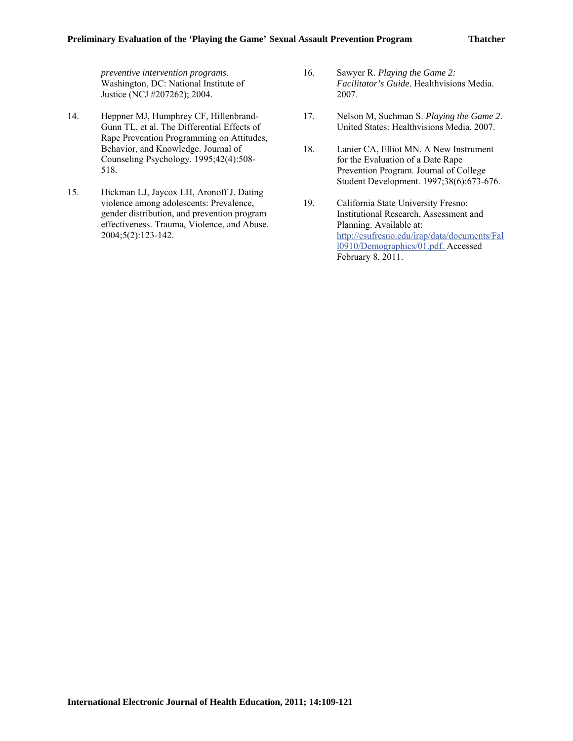*preventive intervention programs.*  Washington, DC: National Institute of Justice (NCJ #207262); 2004.

- 14. Heppner MJ, Humphrey CF, Hillenbrand-Gunn TL, et al. The Differential Effects of Rape Prevention Programming on Attitudes, Behavior, and Knowledge. Journal of Counseling Psychology. 1995;42(4):508- 518*.*
- 15. Hickman LJ, Jaycox LH, Aronoff J. Dating violence among adolescents: Prevalence, gender distribution, and prevention program effectiveness. Trauma, Violence, and Abuse. 2004;5(2):123-142.
- 16. Sawyer R. *Playing the Game 2: Facilitator's Guide*. Healthvisions Media. 2007.
- 17. Nelson M, Suchman S. *Playing the Game 2*. United States: Healthvisions Media. 2007.
- 18. Lanier CA, Elliot MN. A New Instrument for the Evaluation of a Date Rape Prevention Program. Journal of College Student Development. 1997;38(6):673-676.
- 19. California State University Fresno: Institutional Research, Assessment and Planning. Available at: http://csufresno.edu/irap/data/documents/Fal l0910/Demographics/01.pdf. Accessed February 8, 2011.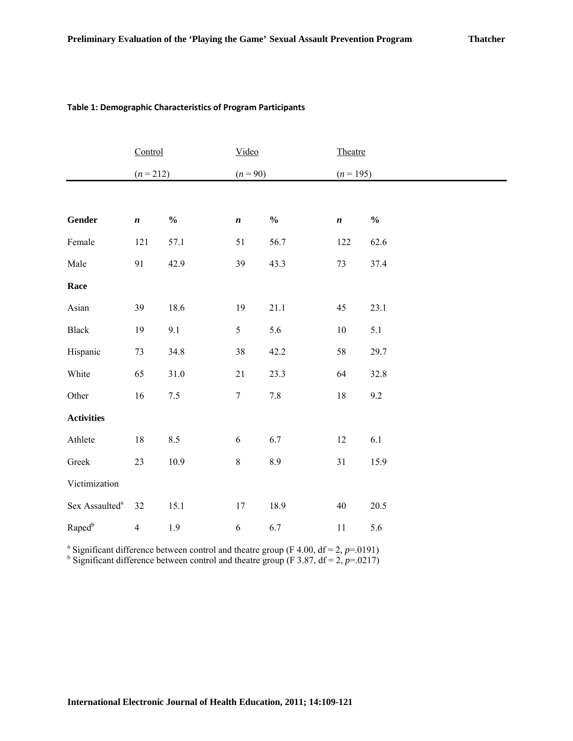#### **Table 1: Demographic Characteristics of Program Participants**

|                            | Control          |               | Video            |                                    | Theatre     |               |  |
|----------------------------|------------------|---------------|------------------|------------------------------------|-------------|---------------|--|
|                            | $(n = 212)$      |               | $(n = 90)$       |                                    | $(n = 195)$ |               |  |
|                            |                  |               |                  |                                    |             |               |  |
| Gender                     | $\boldsymbol{n}$ | $\frac{0}{0}$ | $\pmb{n}$        | $\mathbf{0}_{\mathbf{0}}^{\prime}$ | $\pmb{n}$   | $\frac{0}{0}$ |  |
| Female                     | 121              | 57.1          | 51               | 56.7                               | 122         | 62.6          |  |
| Male                       | 91               | 42.9          | 39               | 43.3                               | $73\,$      | 37.4          |  |
| Race                       |                  |               |                  |                                    |             |               |  |
| Asian                      | 39               | 18.6          | 19               | 21.1                               | 45          | 23.1          |  |
| Black                      | 19               | 9.1           | $\sqrt{5}$       | 5.6                                | 10          | 5.1           |  |
| Hispanic                   | 73               | 34.8          | $38\,$           | 42.2                               | 58          | 29.7          |  |
| White                      | 65               | $31.0\,$      | 21               | 23.3                               | 64          | 32.8          |  |
| Other                      | 16               | $7.5\,$       | $\boldsymbol{7}$ | $7.8\,$                            | $18\,$      | 9.2           |  |
| <b>Activities</b>          |                  |               |                  |                                    |             |               |  |
| Athlete                    | $18\,$           | $8.5\,$       | $\sqrt{6}$       | $6.7\,$                            | 12          | $6.1\,$       |  |
| Greek                      | 23               | $10.9\,$      | $\,8$            | $8.9\,$                            | $3\sqrt{1}$ | 15.9          |  |
| Victimization              |                  |               |                  |                                    |             |               |  |
| Sex Assaulted <sup>a</sup> | 32               | 15.1          | $17\,$           | 18.9                               | 40          | 20.5          |  |
| Raped <sup>b</sup>         | $\overline{4}$   | 1.9           | $\sqrt{6}$       | 6.7                                | 11          | 5.6           |  |

<sup>a</sup> Significant difference between control and theatre group (F 4.00,  $df = 2$ ,  $p=0.0191$ )

<sup>b</sup> Significant difference between control and theatre group (F 3.87,  $df = 2$ ,  $p = .0217$ )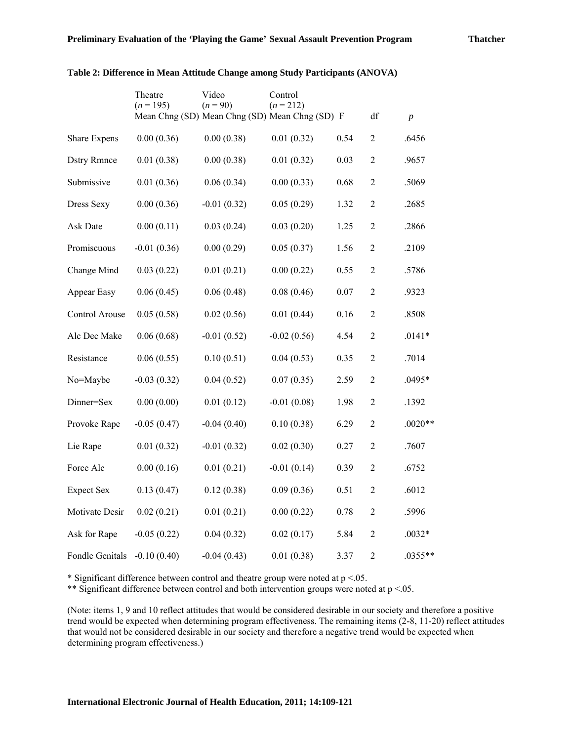|                    | Theatre<br>$(n = 195)$ | Video<br>$(n = 90)$                            | Control<br>$(n = 212)$ |      |                |                  |
|--------------------|------------------------|------------------------------------------------|------------------------|------|----------------|------------------|
|                    |                        | Mean Chng (SD) Mean Chng (SD) Mean Chng (SD) F |                        |      | df             | $\boldsymbol{p}$ |
| Share Expens       | 0.00(0.36)             | 0.00(0.38)                                     | 0.01(0.32)             | 0.54 | $\overline{2}$ | .6456            |
| <b>Dstry Rmnce</b> | 0.01(0.38)             | 0.00(0.38)                                     | 0.01(0.32)             | 0.03 | $\overline{2}$ | .9657            |
| Submissive         | 0.01(0.36)             | 0.06(0.34)                                     | 0.00(0.33)             | 0.68 | $\mathfrak{2}$ | .5069            |
| Dress Sexy         | 0.00(0.36)             | $-0.01(0.32)$                                  | 0.05(0.29)             | 1.32 | $\sqrt{2}$     | .2685            |
| Ask Date           | 0.00(0.11)             | 0.03(0.24)                                     | 0.03(0.20)             | 1.25 | $\overline{2}$ | .2866            |
| Promiscuous        | $-0.01(0.36)$          | 0.00(0.29)                                     | 0.05(0.37)             | 1.56 | $\overline{2}$ | .2109            |
| Change Mind        | 0.03(0.22)             | 0.01(0.21)                                     | 0.00(0.22)             | 0.55 | $\sqrt{2}$     | .5786            |
| Appear Easy        | 0.06(0.45)             | 0.06(0.48)                                     | 0.08(0.46)             | 0.07 | $\sqrt{2}$     | .9323            |
| Control Arouse     | 0.05(0.58)             | 0.02(0.56)                                     | 0.01(0.44)             | 0.16 | $\overline{c}$ | .8508            |
| Alc Dec Make       | 0.06(0.68)             | $-0.01(0.52)$                                  | $-0.02(0.56)$          | 4.54 | $\overline{2}$ | $.0141*$         |
| Resistance         | 0.06(0.55)             | 0.10(0.51)                                     | 0.04(0.53)             | 0.35 | $\sqrt{2}$     | .7014            |
| No=Maybe           | $-0.03(0.32)$          | 0.04(0.52)                                     | 0.07(0.35)             | 2.59 | $\overline{2}$ | .0495*           |
| Dinner=Sex         | 0.00(0.00)             | 0.01(0.12)                                     | $-0.01(0.08)$          | 1.98 | $\overline{c}$ | .1392            |
| Provoke Rape       | $-0.05(0.47)$          | $-0.04(0.40)$                                  | 0.10(0.38)             | 6.29 | $\overline{2}$ | $.0020**$        |
| Lie Rape           | 0.01(0.32)             | $-0.01(0.32)$                                  | 0.02(0.30)             | 0.27 | $\overline{2}$ | .7607            |
| Force Alc          | 0.00(0.16)             | 0.01(0.21)                                     | $-0.01(0.14)$          | 0.39 | $\overline{2}$ | .6752            |
| <b>Expect Sex</b>  | 0.13(0.47)             | 0.12(0.38)                                     | 0.09(0.36)             | 0.51 | $\mathfrak{2}$ | .6012            |
| Motivate Desir     | 0.02(0.21)             | 0.01(0.21)                                     | 0.00(0.22)             | 0.78 | $\overline{2}$ | .5996            |
| Ask for Rape       | $-0.05(0.22)$          | 0.04(0.32)                                     | 0.02(0.17)             | 5.84 | $\overline{2}$ | $.0032*$         |
| Fondle Genitals    | $-0.10(0.40)$          | $-0.04(0.43)$                                  | 0.01(0.38)             | 3.37 | $\overline{2}$ | $.0355**$        |

#### **Table 2: Difference in Mean Attitude Change among Study Participants (ANOVA)**

\* Significant difference between control and theatre group were noted at  $p < 0.05$ .

\*\* Significant difference between control and both intervention groups were noted at  $p < 0.05$ .

(Note: items 1, 9 and 10 reflect attitudes that would be considered desirable in our society and therefore a positive trend would be expected when determining program effectiveness. The remaining items (2-8, 11-20) reflect attitudes that would not be considered desirable in our society and therefore a negative trend would be expected when determining program effectiveness.)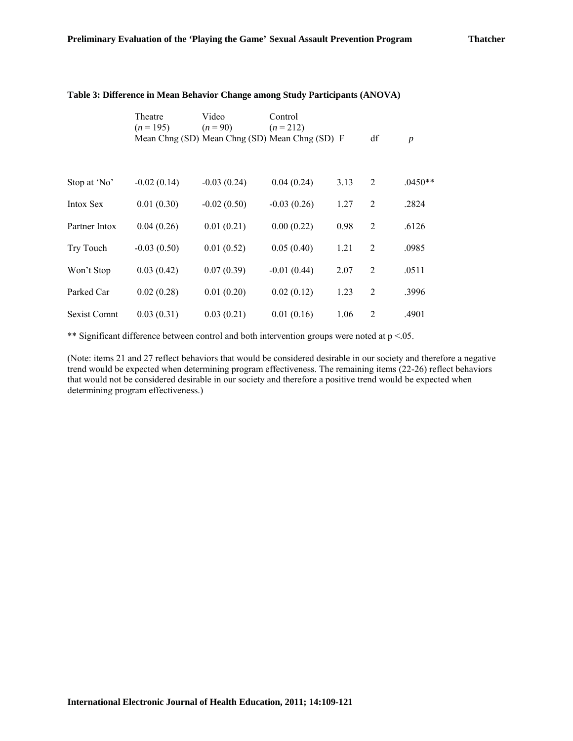|               | Theatre<br>$(n=195)$                           | Video<br>$(n = 90)$ | Control<br>$(n=212)$ |      |                |                  |  |
|---------------|------------------------------------------------|---------------------|----------------------|------|----------------|------------------|--|
|               | Mean Chng (SD) Mean Chng (SD) Mean Chng (SD) F |                     |                      |      | df             | $\boldsymbol{p}$ |  |
|               |                                                |                     |                      |      |                |                  |  |
| Stop at 'No'  | $-0.02(0.14)$                                  | $-0.03(0.24)$       | 0.04(0.24)           | 3.13 | $\overline{2}$ | $.0450**$        |  |
| Intox Sex     | 0.01(0.30)                                     | $-0.02(0.50)$       | $-0.03(0.26)$        | 1.27 | $\overline{2}$ | .2824            |  |
| Partner Intox | 0.04(0.26)                                     | 0.01(0.21)          | 0.00(0.22)           | 0.98 | $\overline{2}$ | .6126            |  |
| Try Touch     | $-0.03(0.50)$                                  | 0.01(0.52)          | 0.05(0.40)           | 1.21 | 2              | .0985            |  |
| Won't Stop    | 0.03(0.42)                                     | 0.07(0.39)          | $-0.01(0.44)$        | 2.07 | $\overline{2}$ | .0511            |  |
| Parked Car    | 0.02(0.28)                                     | 0.01(0.20)          | 0.02(0.12)           | 1.23 | $\overline{2}$ | .3996            |  |
| Sexist Comnt  | 0.03(0.31)                                     | 0.03(0.21)          | 0.01(0.16)           | 1.06 | 2              | .4901            |  |

#### **Table 3: Difference in Mean Behavior Change among Study Participants (ANOVA)**

\*\* Significant difference between control and both intervention groups were noted at  $p < 0.05$ .

(Note: items 21 and 27 reflect behaviors that would be considered desirable in our society and therefore a negative trend would be expected when determining program effectiveness. The remaining items (22-26) reflect behaviors that would not be considered desirable in our society and therefore a positive trend would be expected when determining program effectiveness.)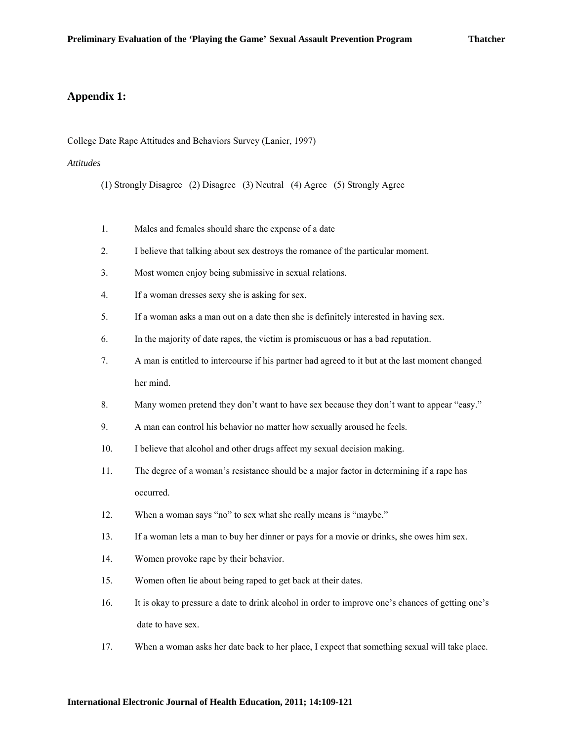### **Appendix 1:**

College Date Rape Attitudes and Behaviors Survey (Lanier, 1997)

#### *Attitudes*

(1) Strongly Disagree (2) Disagree (3) Neutral (4) Agree (5) Strongly Agree

- 1. Males and females should share the expense of a date
- 2. I believe that talking about sex destroys the romance of the particular moment.
- 3. Most women enjoy being submissive in sexual relations.
- 4. If a woman dresses sexy she is asking for sex.
- 5. If a woman asks a man out on a date then she is definitely interested in having sex.
- 6. In the majority of date rapes, the victim is promiscuous or has a bad reputation.
- 7. A man is entitled to intercourse if his partner had agreed to it but at the last moment changed her mind.
- 8. Many women pretend they don't want to have sex because they don't want to appear "easy."
- 9. A man can control his behavior no matter how sexually aroused he feels.
- 10. I believe that alcohol and other drugs affect my sexual decision making.
- 11. The degree of a woman's resistance should be a major factor in determining if a rape has occurred.
- 12. When a woman says "no" to sex what she really means is "maybe."
- 13. If a woman lets a man to buy her dinner or pays for a movie or drinks, she owes him sex.
- 14. Women provoke rape by their behavior.
- 15. Women often lie about being raped to get back at their dates.
- 16. It is okay to pressure a date to drink alcohol in order to improve one's chances of getting one's date to have sex.
- 17. When a woman asks her date back to her place, I expect that something sexual will take place.

#### **International Electronic Journal of Health Education, 2011; 14:109-121**